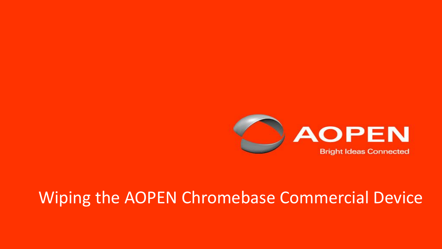

## Wiping the AOPEN Chromebase Commercial Device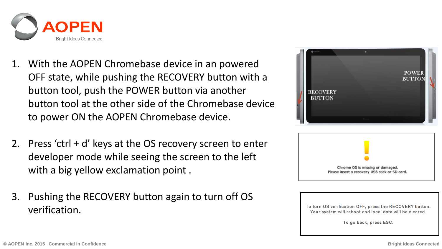

- 1. With the AOPEN Chromebase device in an powered OFF state, while pushing the RECOVERY button with a button tool, push the POWER button via another button tool at the other side of the Chromebase device to power ON the AOPEN Chromebase device.
- 2. Press 'ctrl + d' keys at the OS recovery screen to enter developer mode while seeing the screen to the left with a big yellow exclamation point.
- 3. Pushing the RECOVERY button again to turn off OS verification.





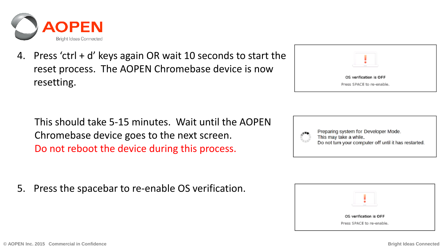

4. Press 'ctrl + d' keys again OR wait 10 seconds to start the reset process. The AOPEN Chromebase device is now resetting.

 This should take 5-15 minutes. Wait until the AOPEN Chromebase device goes to the next screen. Do not reboot the device during this process.

5. Press the spacebar to re-enable OS verification.

| <b>STATE</b>              |  |
|---------------------------|--|
| OS verification is OFF    |  |
| Press SPACE to re-enable. |  |
|                           |  |